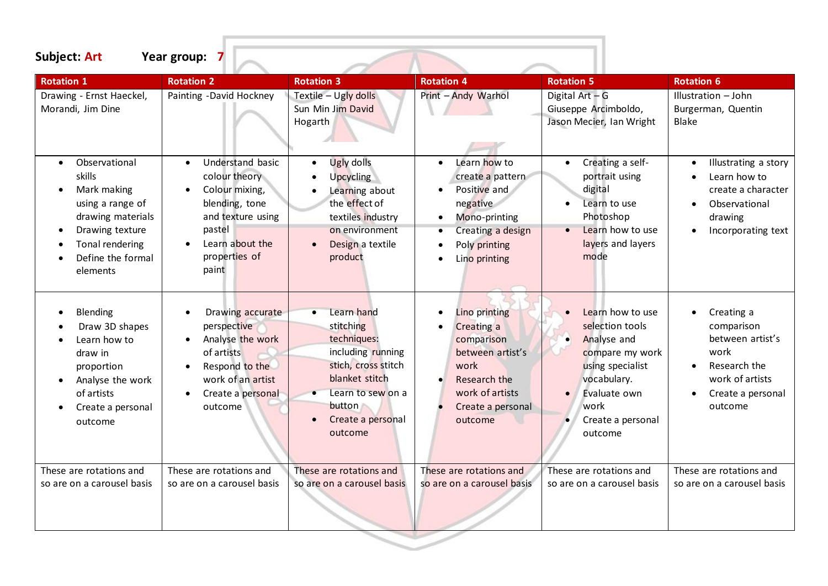| <b>Subject: Art</b>                                                                                                                                    | Year group:                                                                                                                                                    |                                                                                                                                                                                  |                                                                                                                                                   |                                                                                                                                                                               |                                                                                                                         |
|--------------------------------------------------------------------------------------------------------------------------------------------------------|----------------------------------------------------------------------------------------------------------------------------------------------------------------|----------------------------------------------------------------------------------------------------------------------------------------------------------------------------------|---------------------------------------------------------------------------------------------------------------------------------------------------|-------------------------------------------------------------------------------------------------------------------------------------------------------------------------------|-------------------------------------------------------------------------------------------------------------------------|
| <b>Rotation 1</b>                                                                                                                                      | <b>Rotation 2</b>                                                                                                                                              | <b>Rotation 3</b>                                                                                                                                                                | <b>Rotation 4</b>                                                                                                                                 | <b>Rotation 5</b>                                                                                                                                                             | <b>Rotation 6</b>                                                                                                       |
| Drawing - Ernst Haeckel,<br>Morandi, Jim Dine                                                                                                          | Painting -David Hockney                                                                                                                                        | Textile - Ugly dolls<br>Sun Min Jim David<br>Hogarth                                                                                                                             | Print - Andy Warhol                                                                                                                               | Digital Art - G<br>Giuseppe Arcimboldo,<br>Jason Mecier, Ian Wright                                                                                                           | Illustration - John<br>Burgerman, Quentin<br><b>Blake</b>                                                               |
| Observational<br>skills<br>Mark making<br>using a range of<br>drawing materials<br>Drawing texture<br>Tonal rendering<br>Define the formal<br>elements | Understand basic<br>$\bullet$<br>colour theory<br>Colour mixing,<br>blending, tone<br>and texture using<br>pastel<br>Learn about the<br>properties of<br>paint | Ugly dolls<br>$\bullet$<br>Upcycling<br>$\bullet$<br>Learning about<br>the effect of<br>textiles industry<br>on environment<br>Design a textile<br>$\bullet$<br>product          | Learn how to<br>$\bullet$<br>create a pattern<br>Positive and<br>negative<br>Mono-printing<br>Creating a design<br>Poly printing<br>Lino printing | Creating a self-<br>$\bullet$<br>portrait using<br>digital<br>Learn to use<br>Photoshop<br>Learn how to use<br>layers and layers<br>mode                                      | Illustrating a story<br>Learn how to<br>create a character<br>Observational<br>drawing<br>Incorporating text            |
| <b>Blending</b><br>Draw 3D shapes<br>Learn how to<br>draw in<br>proportion<br>Analyse the work<br>of artists<br>Create a personal<br>outcome           | Drawing accurate<br>perspective<br>Analyse the work<br>of artists<br>Respond to the<br>work of an artist<br>Create a personal<br>outcome                       | Learn hand<br>$\bullet$<br>stitching<br>techniques:<br>including running<br>stich, cross stitch<br>blanket stitch<br>Learn to sew on a<br>button<br>Create a personal<br>outcome | Lino printing<br><b>Creating a</b><br>comparison<br>between artist's<br>work<br>Research the<br>work of artists<br>Create a personal<br>outcome   | Learn how to use<br>selection tools<br>Analyse and<br>$\bullet$<br>compare my work<br>using specialist<br>vocabulary.<br>Evaluate own<br>work<br>Create a personal<br>outcome | Creating a<br>comparison<br>between artist's<br>work<br>Research the<br>work of artists<br>Create a personal<br>outcome |
| These are rotations and<br>so are on a carousel basis                                                                                                  | These are rotations and<br>so are on a carousel basis                                                                                                          | These are rotations and<br>so are on a carousel basis                                                                                                                            | These are rotations and<br>so are on a carousel basis                                                                                             | These are rotations and<br>so are on a carousel basis                                                                                                                         | These are rotations and<br>so are on a carousel basis                                                                   |

이 사이에 대한 사이에 대한 사이에 대한 사이에 대한 사이에 대한 사이에 대한 사이에 대한 사이에 대한 사이에 대한 사이를 받았다.

111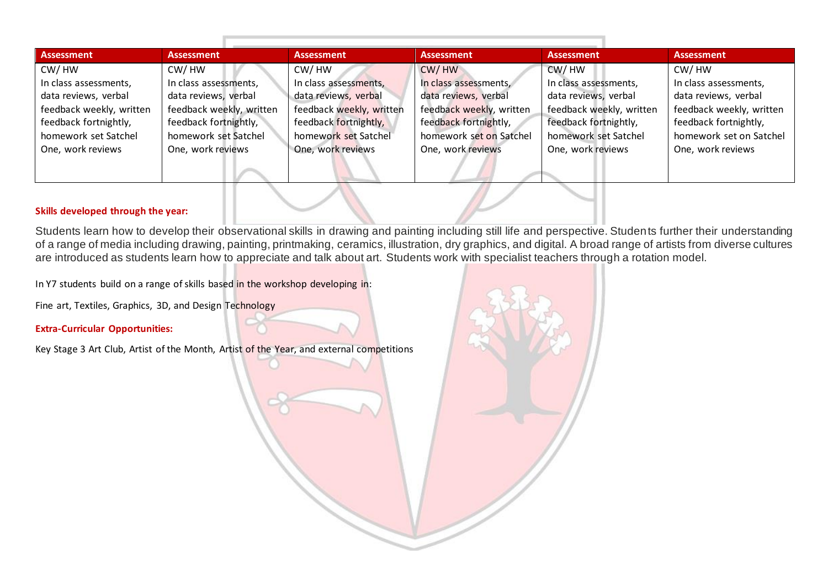| Assessment               | Assessment               | <b>Assessment</b>        | <b>Assessment</b>        | <b>Assessment</b>        | <b>Assessment</b>        |
|--------------------------|--------------------------|--------------------------|--------------------------|--------------------------|--------------------------|
| CW/HW                    | CW/HW                    | CW/HW                    | CW/HW                    | CW/HW                    | CW/HW                    |
| In class assessments,    | In class assessments,    | In class assessments,    | In class assessments,    | In class assessments,    | In class assessments,    |
| data reviews, verbal     | data reviews, verbal     | data reviews, verbal     | data reviews, verbal     | data reviews, verbal     | data reviews, verbal     |
| feedback weekly, written | feedback weekly, written | feedback weekly, written | feedback weekly, written | feedback weekly, written | feedback weekly, written |
| feedback fortnightly,    | feedback fortnightly,    | feedback fortnightly,    | feedback fortnightly,    | feedback fortnightly,    | feedback fortnightly,    |
| homework set Satchel     | homework set Satchel     | homework set Satchel     | homework set on Satchel  | homework set Satchel     | homework set on Satchel  |
| One, work reviews        | One, work reviews        | One, work reviews        | One, work reviews        | One, work reviews        | One, work reviews        |
|                          |                          |                          |                          |                          |                          |

#### **Skills developed through the year:**

Students learn how to develop their observational skills in drawing and painting including still life and perspective. Students further their understanding of a range of media including drawing, painting, printmaking, ceramics, illustration, dry graphics, and digital. A broad range of artists from diverse cultures are introduced as students learn how to appreciate and talk about art. Students work with specialist teachers through a rotation model.

In Y7 students build on a range of skills based in the workshop developing in:

Fine art, Textiles, Graphics, 3D, and Design Technology

#### **Extra-Curricular Opportunities:**

Key Stage 3 Art Club, Artist of the Month, Artist of the Year, and external competitions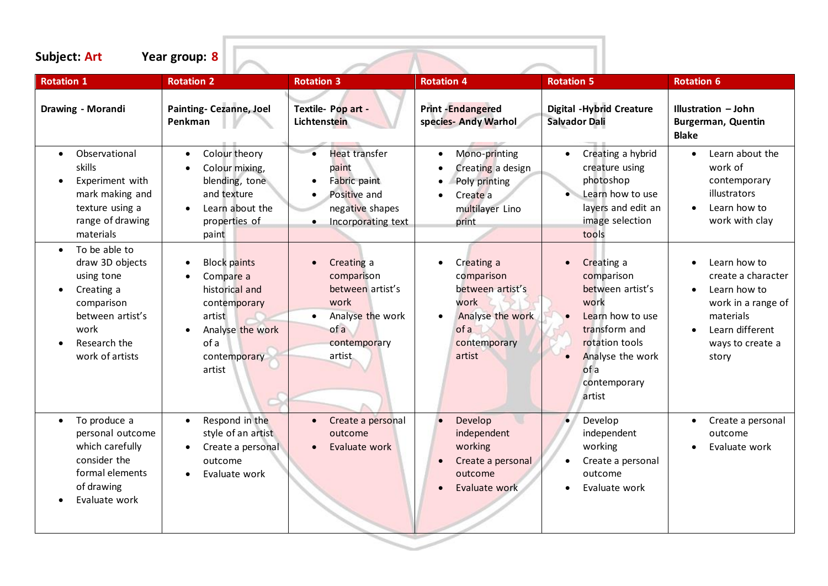| <b>Rotation 1</b>                                                                                                                                                                                                                | <b>Rotation 2</b>                                                                                                                                                                                          | <b>Rotation 3</b>                                                                                                                                                                                                                                                | <b>Rotation 4</b>                                                                                                                                                                                 | <b>Rotation 5</b>                                                                                                                                                                                                            | <b>Rotation 6</b>                                                                                                                                                                                                                         |
|----------------------------------------------------------------------------------------------------------------------------------------------------------------------------------------------------------------------------------|------------------------------------------------------------------------------------------------------------------------------------------------------------------------------------------------------------|------------------------------------------------------------------------------------------------------------------------------------------------------------------------------------------------------------------------------------------------------------------|---------------------------------------------------------------------------------------------------------------------------------------------------------------------------------------------------|------------------------------------------------------------------------------------------------------------------------------------------------------------------------------------------------------------------------------|-------------------------------------------------------------------------------------------------------------------------------------------------------------------------------------------------------------------------------------------|
| Drawing - Morandi                                                                                                                                                                                                                | <b>Painting- Cezanne, Joel</b><br>Penkman                                                                                                                                                                  | Textile- Pop art -<br>Lichtenstein                                                                                                                                                                                                                               | <b>Print-Endangered</b><br>species- Andy Warhol                                                                                                                                                   | <b>Digital -Hybrid Creature</b><br><b>Salvador Dali</b>                                                                                                                                                                      | Illustration - John<br><b>Burgerman, Quentin</b><br><b>Blake</b>                                                                                                                                                                          |
| Observational<br>$\bullet$<br>skills<br>Experiment with<br>mark making and<br>texture using a<br>range of drawing<br>materials<br>To be able to<br>draw 3D objects<br>using tone<br>Creating a<br>comparison<br>between artist's | Colour theory<br>$\bullet$<br>Colour mixing,<br>blending, tone<br>and texture<br>Learn about the<br>properties of<br>paint<br><b>Block paints</b><br>Compare a<br>historical and<br>contemporary<br>artist | <b>Heat transfer</b><br>$\bullet$<br>paint<br>Fabric paint<br>$\bullet$<br>Positive and<br>$\bullet$<br>negative shapes<br>Incorporating text<br>$\bullet$<br>Creating a<br>$\bullet$<br>comparison<br>between artist's<br>work<br>Analyse the work<br>$\bullet$ | Mono-printing<br>$\bullet$<br>Creating a design<br>Poly printing<br>Create a<br>multilayer Lino<br>print<br>Creating a<br>comparison<br>between artist's<br>work<br>Analyse the work<br>$\bullet$ | Creating a hybrid<br>$\bullet$<br>creature using<br>photoshop<br>Learn how to use<br>layers and edit an<br>image selection<br>tools<br>Creating a<br>$\bullet$<br>comparison<br>between artist's<br>work<br>Learn how to use | Learn about the<br>$\bullet$<br>work of<br>contemporary<br>illustrators<br>Learn how to<br>$\bullet$<br>work with clay<br>Learn how to<br>$\bullet$<br>create a character<br>Learn how to<br>$\bullet$<br>work in a range of<br>materials |
| work<br>Research the<br>work of artists                                                                                                                                                                                          | Analyse the work<br>of a<br>contemporary<br>artist                                                                                                                                                         | of a<br>contemporary<br>artist                                                                                                                                                                                                                                   | of a<br>contemporary<br>artist                                                                                                                                                                    | transform and<br>rotation tools<br>Analyse the work<br>of a<br>contemporary<br>artist                                                                                                                                        | Learn different<br>$\bullet$<br>ways to create a<br>story                                                                                                                                                                                 |
| To produce a<br>personal outcome<br>which carefully<br>consider the<br>formal elements<br>of drawing<br>Evaluate work                                                                                                            | Respond in the<br>$\bullet$<br>style of an artist<br>Create a personal<br>outcome<br>Evaluate work                                                                                                         | Create a personal<br>$\bullet$<br>outcome<br>Evaluate work<br>$\bullet$                                                                                                                                                                                          | Develop<br>independent<br>working<br>Create a personal<br>outcome<br>Evaluate work                                                                                                                | Develop<br>$\bullet$<br>independent<br>working<br>Create a personal<br>outcome<br>Evaluate work                                                                                                                              | Create a personal<br>$\bullet$<br>outcome<br>Evaluate work<br>$\bullet$                                                                                                                                                                   |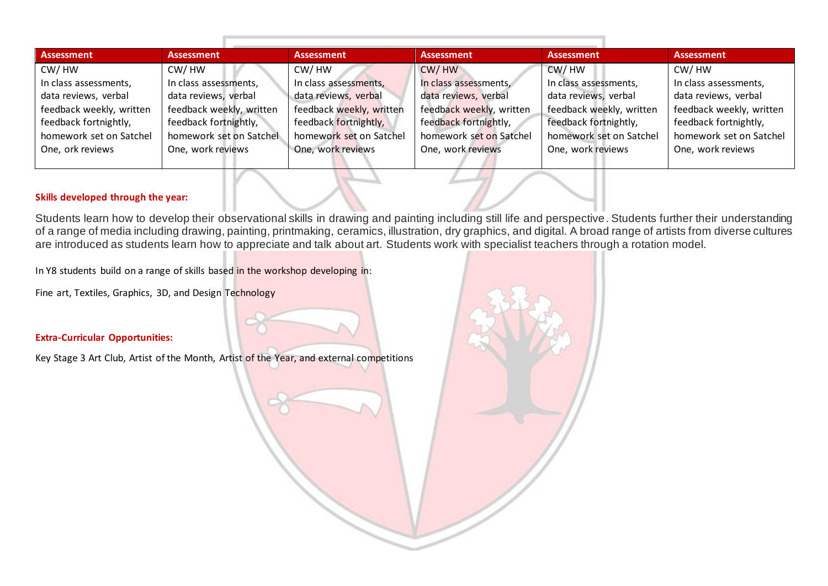| Assessment               | Assessment               | <b>Assessment</b>        | Assessment               | Assessment               | Assessment               |
|--------------------------|--------------------------|--------------------------|--------------------------|--------------------------|--------------------------|
| CW/HW                    | CW/HW                    | CW/HW                    | CW/HW                    | CW/HW                    | CW/HW                    |
| In class assessments,    | In class assessments,    | In class assessments,    | In class assessments,    | In class assessments,    | In class assessments,    |
| data reviews, verbal     | data reviews, verbal     | data reviews, verbal     | data reviews, verbal     | data reviews, verbal     | data reviews, verbal     |
| feedback weekly, written | feedback weekly, written | feedback weekly, written | feedback weekly, written | feedback weekly, written | feedback weekly, written |
| feedback fortnightly,    | feedback fortnightly,    | feedback fortnightly,    | feedback fortnightly,    | feedback fortnightly,    | feedback fortnightly,    |
| homework set on Satchel  | homework set on Satchel  | homework set on Satchel  | homework set on Satchel  | homework set on Satchel  | homework set on Satchel  |
| One, ork reviews         | One, work reviews        | One, work reviews        | One, work reviews        | One, work reviews        | One, work reviews        |
|                          |                          |                          |                          |                          |                          |

#### **Skills developed through the year:**

Students learn how to develop their observational skills in drawing and painting including still life and perspective. Students further their understanding of a range of media including drawing, painting, printmaking, ceramics, illustration, dry graphics, and digital. A broad range of artists from diverse cultures are introduced as students learn how to appreciate and talk about art. Students work with specialist teachers through a rotation model.

In Y8 students build on a range of skills based in the workshop developing in:

Fine art, Textiles, Graphics, 3D, and Design Technology

#### **Extra-Curricular Opportunities:**

Key Stage 3 Art Club, Artist of the Month, Artist of the Year, and external competitions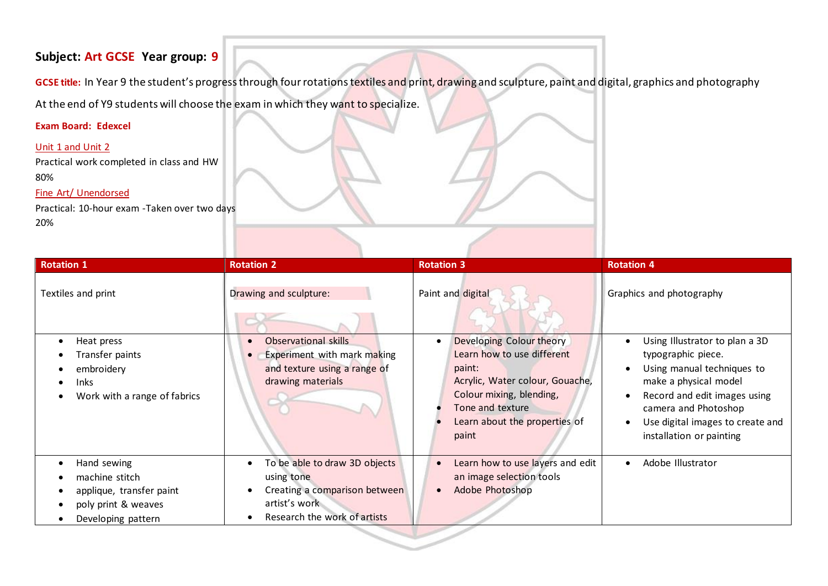## **Subject: Art GCSE Year group: 9**

**GCSE title:** In Year 9 the student's progress through four rotations textiles and print, drawing and sculpture, paint and digital, graphics and photography

At the end of Y9 students will choose the exam in which they want to specialize.

## **Exam Board: Edexcel**

## Unit 1 and Unit 2

Practical work completed in class and HW 80%

## Fine Art/ Unendorsed

Practical: 10-hour exam -Taken over two days 20%

| <b>Rotation 1</b>                                                                                      | <b>Rotation 2</b>                                                                                                             | <b>Rotation 3</b>                                                                                                                                                                             | <b>Rotation 4</b>                                                                                                                                                                                                                                             |
|--------------------------------------------------------------------------------------------------------|-------------------------------------------------------------------------------------------------------------------------------|-----------------------------------------------------------------------------------------------------------------------------------------------------------------------------------------------|---------------------------------------------------------------------------------------------------------------------------------------------------------------------------------------------------------------------------------------------------------------|
| Textiles and print                                                                                     | Drawing and sculpture:                                                                                                        | Paint and digital                                                                                                                                                                             | Graphics and photography                                                                                                                                                                                                                                      |
| Heat press<br>Transfer paints<br>embroidery<br><b>Inks</b><br>Work with a range of fabrics             | Observational skills<br>Experiment with mark making<br>and texture using a range of<br>drawing materials                      | Developing Colour theory<br>Learn how to use different<br>paint:<br>Acrylic, Water colour, Gouache,<br>Colour mixing, blending,<br>Tone and texture<br>Learn about the properties of<br>paint | Using Illustrator to plan a 3D<br>typographic piece.<br>Using manual techniques to<br>make a physical model<br>Record and edit images using<br>$\bullet$<br>camera and Photoshop<br>Use digital images to create and<br>$\bullet$<br>installation or painting |
| Hand sewing<br>machine stitch<br>applique, transfer paint<br>poly print & weaves<br>Developing pattern | To be able to draw 3D objects<br>using tone<br>Creating a comparison between<br>artist's work<br>Research the work of artists | Learn how to use layers and edit<br>an image selection tools<br>Adobe Photoshop                                                                                                               | Adobe Illustrator<br>$\bullet$                                                                                                                                                                                                                                |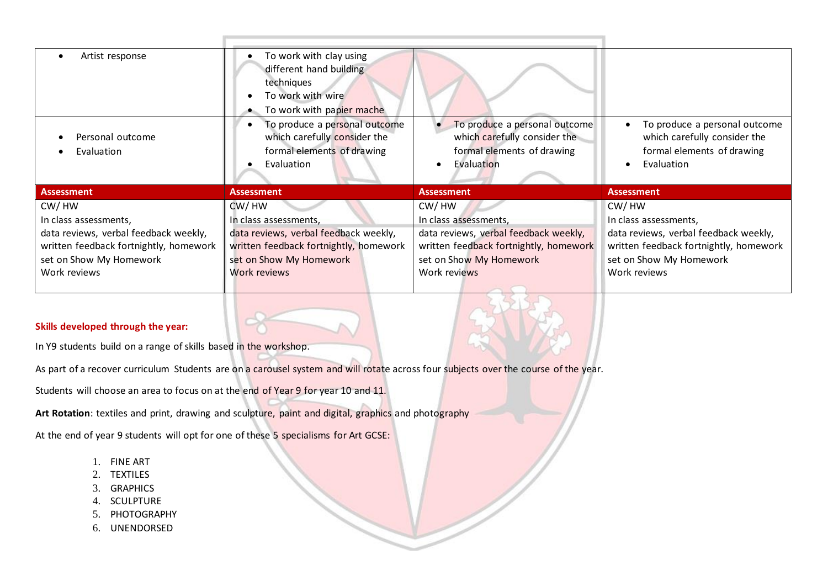| Artist response<br>Personal outcome<br>Evaluation                                                                                                            | To work with clay using<br>different hand building<br>techniques<br>To work with wire<br>To work with papier mache<br>To produce a personal outcome<br>which carefully consider the<br>formal elements of drawing<br>Evaluation | To produce a personal outcome<br>which carefully consider the<br>formal elements of drawing<br>Evaluation                                                    | To produce a personal outcome<br>$\bullet$<br>which carefully consider the<br>formal elements of drawing<br>Evaluation<br>$\bullet$                          |
|--------------------------------------------------------------------------------------------------------------------------------------------------------------|---------------------------------------------------------------------------------------------------------------------------------------------------------------------------------------------------------------------------------|--------------------------------------------------------------------------------------------------------------------------------------------------------------|--------------------------------------------------------------------------------------------------------------------------------------------------------------|
| <b>Assessment</b>                                                                                                                                            | <b>Assessment</b>                                                                                                                                                                                                               | <b>Assessment</b>                                                                                                                                            | <b>Assessment</b>                                                                                                                                            |
| CW/HW<br>In class assessments,<br>data reviews, verbal feedback weekly,<br>written feedback fortnightly, homework<br>set on Show My Homework<br>Work reviews | CW/HW<br>In class assessments,<br>data reviews, verbal feedback weekly,<br>written feedback fortnightly, homework<br>set on Show My Homework<br>Work reviews                                                                    | CW/HW<br>In class assessments,<br>data reviews, verbal feedback weekly,<br>written feedback fortnightly, homework<br>set on Show My Homework<br>Work reviews | CW/HW<br>In class assessments,<br>data reviews, verbal feedback weekly,<br>written feedback fortnightly, homework<br>set on Show My Homework<br>Work reviews |
| Skills developed through the year:<br>In Y9 students build on a range of skills based in the workshop.                                                       |                                                                                                                                                                                                                                 |                                                                                                                                                              |                                                                                                                                                              |

As part of a recover curriculum Students are on a carousel system and will rotate across four subjects over the course of the year.

Students will choose an area to focus on at the end of Year 9 for year 10 and 11.

**Art Rotation**: textiles and print, drawing and sculpture, paint and digital, graphics and photography

At the end of year 9 students will opt for one of these 5 specialisms for Art GCSE:

- 1. FINE ART
- 2. TEXTILES
- 3. GRAPHICS
- 4. SCULPTURE
- 5. PHOTOGRAPHY
- 6. UNENDORSED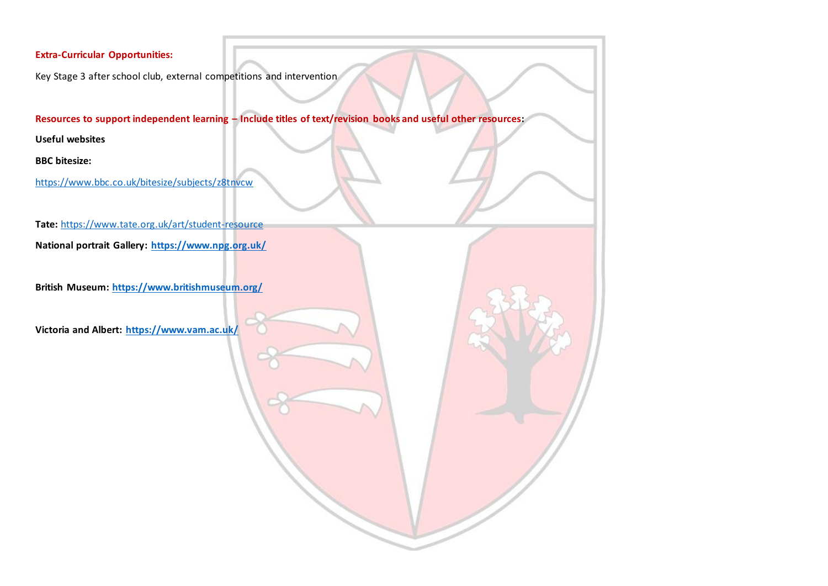## **Extra-Curricular Opportunities:**

Key Stage 3 after school club, external competitions and intervention

**Resources to support independent learning – Include titles of text/revision books and useful other resources:**

**Useful websites**

**BBC bitesize:**

<https://www.bbc.co.uk/bitesize/subjects/z8tnvcw>

**Tate:** <https://www.tate.org.uk/art/student-resource>

**National portrait Gallery:<https://www.npg.org.uk/>**

**British Museum:<https://www.britishmuseum.org/>**

**Victoria and Albert:<https://www.vam.ac.uk/>**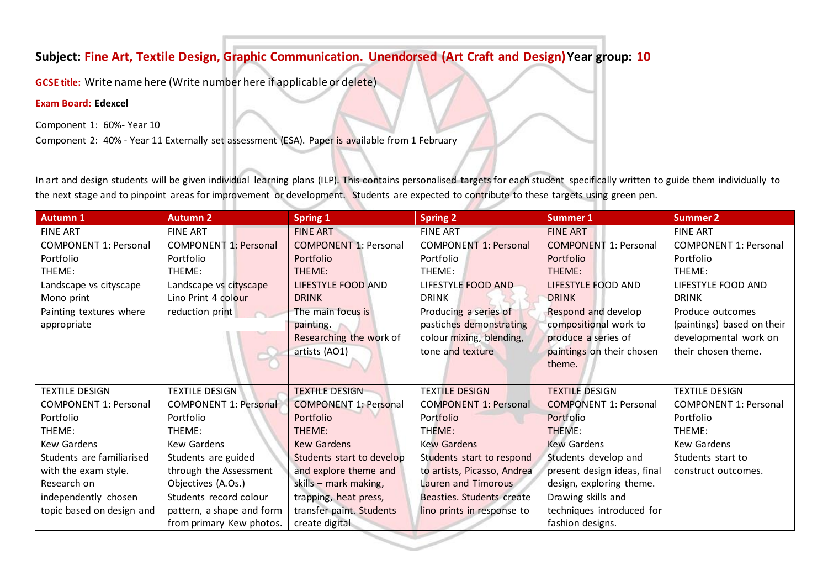# **Subject: Fine Art, Textile Design, Graphic Communication. Unendorsed (Art Craft and Design)Year group: 10**

**GCSE title:** Write name here (Write number here if applicable or delete)

### **Exam Board: Edexcel**

Component 1: 60%- Year 10

Component 2: 40% - Year 11 Externally set assessment (ESA). Paper is available from 1 February

In art and design students will be given individual learning plans (ILP). This contains personalised targets for each student specifically written to guide them individually to the next stage and to pinpoint areas for improvement or development. Students are expected to contribute to these targets using green pen.

| <b>FINE ART</b><br><b>FINE ART</b><br><b>FINE ART</b><br><b>FINE ART</b><br><b>FINE ART</b><br><b>FINE ART</b><br><b>COMPONENT 1: Personal</b><br><b>COMPONENT 1: Personal</b><br><b>COMPONENT 1: Personal</b><br><b>COMPONENT 1: Personal</b><br><b>COMPONENT 1: Personal</b><br><b>COMPONENT 1: Personal</b><br>Portfolio<br>Portfolio<br>Portfolio<br>Portfolio<br>Portfolio<br>Portfolio<br>THEME:<br>THEME:<br>THEME:<br>THEME:<br>THEME:<br>THEME:<br>LIFESTYLE FOOD AND<br>LIFESTYLE FOOD AND<br>LIFESTYLE FOOD AND<br>LIFESTYLE FOOD AND<br>Landscape vs cityscape<br>Landscape vs cityscape<br>Lino Print 4 colour<br><b>DRINK</b><br>Mono print<br><b>DRINK</b><br><b>DRINK</b><br><b>DRINK</b><br>Painting textures where<br>Respond and develop<br>reduction print<br>The main focus is<br>Producing a series of<br>Produce outcomes<br>compositional work to<br>pastiches demonstrating<br>appropriate<br>painting.<br>Researching the work of<br>colour mixing, blending,<br>produce a series of<br>developmental work on<br>tone and texture<br>their chosen theme.<br>artists (AO1)<br>paintings on their chosen<br>theme.<br><b>TEXTILE DESIGN</b><br><b>TEXTILE DESIGN</b><br><b>TEXTILE DESIGN</b><br><b>TEXTILE DESIGN</b><br><b>TEXTILE DESIGN</b><br><b>TEXTILE DESIGN</b><br><b>COMPONENT 1: Personal</b><br><b>COMPONENT 1: Personal</b><br><b>COMPONENT 1: Personal</b><br><b>COMPONENT 1: Personal</b><br><b>COMPONENT 1: Personal</b><br><b>COMPONENT 1: Personal</b><br>Portfolio<br>Portfolio<br>Portfolio<br>Portfolio<br>Portfolio<br>Portfolio<br>THEME:<br>THEME:<br>THEME:<br>THEME:<br>THEME:<br>THEME:<br>Kew Gardens<br><b>Kew Gardens</b><br><b>Kew Gardens</b><br><b>Kew Gardens</b><br><b>Kew Gardens</b><br><b>Kew Gardens</b> | <b>Autumn 1</b>           | <b>Autumn 2</b>     | <b>Spring 1</b>           | <b>Spring 2</b>           | <b>Summer 1</b>      | <b>Summer 2</b>            |
|-------------------------------------------------------------------------------------------------------------------------------------------------------------------------------------------------------------------------------------------------------------------------------------------------------------------------------------------------------------------------------------------------------------------------------------------------------------------------------------------------------------------------------------------------------------------------------------------------------------------------------------------------------------------------------------------------------------------------------------------------------------------------------------------------------------------------------------------------------------------------------------------------------------------------------------------------------------------------------------------------------------------------------------------------------------------------------------------------------------------------------------------------------------------------------------------------------------------------------------------------------------------------------------------------------------------------------------------------------------------------------------------------------------------------------------------------------------------------------------------------------------------------------------------------------------------------------------------------------------------------------------------------------------------------------------------------------------------------------------------------------------------------|---------------------------|---------------------|---------------------------|---------------------------|----------------------|----------------------------|
|                                                                                                                                                                                                                                                                                                                                                                                                                                                                                                                                                                                                                                                                                                                                                                                                                                                                                                                                                                                                                                                                                                                                                                                                                                                                                                                                                                                                                                                                                                                                                                                                                                                                                                                                                                         |                           |                     |                           |                           |                      |                            |
|                                                                                                                                                                                                                                                                                                                                                                                                                                                                                                                                                                                                                                                                                                                                                                                                                                                                                                                                                                                                                                                                                                                                                                                                                                                                                                                                                                                                                                                                                                                                                                                                                                                                                                                                                                         |                           |                     |                           |                           |                      |                            |
|                                                                                                                                                                                                                                                                                                                                                                                                                                                                                                                                                                                                                                                                                                                                                                                                                                                                                                                                                                                                                                                                                                                                                                                                                                                                                                                                                                                                                                                                                                                                                                                                                                                                                                                                                                         |                           |                     |                           |                           |                      |                            |
|                                                                                                                                                                                                                                                                                                                                                                                                                                                                                                                                                                                                                                                                                                                                                                                                                                                                                                                                                                                                                                                                                                                                                                                                                                                                                                                                                                                                                                                                                                                                                                                                                                                                                                                                                                         |                           |                     |                           |                           |                      |                            |
|                                                                                                                                                                                                                                                                                                                                                                                                                                                                                                                                                                                                                                                                                                                                                                                                                                                                                                                                                                                                                                                                                                                                                                                                                                                                                                                                                                                                                                                                                                                                                                                                                                                                                                                                                                         |                           |                     |                           |                           |                      |                            |
|                                                                                                                                                                                                                                                                                                                                                                                                                                                                                                                                                                                                                                                                                                                                                                                                                                                                                                                                                                                                                                                                                                                                                                                                                                                                                                                                                                                                                                                                                                                                                                                                                                                                                                                                                                         |                           |                     |                           |                           |                      |                            |
|                                                                                                                                                                                                                                                                                                                                                                                                                                                                                                                                                                                                                                                                                                                                                                                                                                                                                                                                                                                                                                                                                                                                                                                                                                                                                                                                                                                                                                                                                                                                                                                                                                                                                                                                                                         |                           |                     |                           |                           |                      |                            |
|                                                                                                                                                                                                                                                                                                                                                                                                                                                                                                                                                                                                                                                                                                                                                                                                                                                                                                                                                                                                                                                                                                                                                                                                                                                                                                                                                                                                                                                                                                                                                                                                                                                                                                                                                                         |                           |                     |                           |                           |                      | (paintings) based on their |
|                                                                                                                                                                                                                                                                                                                                                                                                                                                                                                                                                                                                                                                                                                                                                                                                                                                                                                                                                                                                                                                                                                                                                                                                                                                                                                                                                                                                                                                                                                                                                                                                                                                                                                                                                                         |                           |                     |                           |                           |                      |                            |
|                                                                                                                                                                                                                                                                                                                                                                                                                                                                                                                                                                                                                                                                                                                                                                                                                                                                                                                                                                                                                                                                                                                                                                                                                                                                                                                                                                                                                                                                                                                                                                                                                                                                                                                                                                         |                           |                     |                           |                           |                      |                            |
|                                                                                                                                                                                                                                                                                                                                                                                                                                                                                                                                                                                                                                                                                                                                                                                                                                                                                                                                                                                                                                                                                                                                                                                                                                                                                                                                                                                                                                                                                                                                                                                                                                                                                                                                                                         |                           |                     |                           |                           |                      |                            |
|                                                                                                                                                                                                                                                                                                                                                                                                                                                                                                                                                                                                                                                                                                                                                                                                                                                                                                                                                                                                                                                                                                                                                                                                                                                                                                                                                                                                                                                                                                                                                                                                                                                                                                                                                                         |                           |                     |                           |                           |                      |                            |
|                                                                                                                                                                                                                                                                                                                                                                                                                                                                                                                                                                                                                                                                                                                                                                                                                                                                                                                                                                                                                                                                                                                                                                                                                                                                                                                                                                                                                                                                                                                                                                                                                                                                                                                                                                         |                           |                     |                           |                           |                      |                            |
|                                                                                                                                                                                                                                                                                                                                                                                                                                                                                                                                                                                                                                                                                                                                                                                                                                                                                                                                                                                                                                                                                                                                                                                                                                                                                                                                                                                                                                                                                                                                                                                                                                                                                                                                                                         |                           |                     |                           |                           |                      |                            |
|                                                                                                                                                                                                                                                                                                                                                                                                                                                                                                                                                                                                                                                                                                                                                                                                                                                                                                                                                                                                                                                                                                                                                                                                                                                                                                                                                                                                                                                                                                                                                                                                                                                                                                                                                                         |                           |                     |                           |                           |                      |                            |
|                                                                                                                                                                                                                                                                                                                                                                                                                                                                                                                                                                                                                                                                                                                                                                                                                                                                                                                                                                                                                                                                                                                                                                                                                                                                                                                                                                                                                                                                                                                                                                                                                                                                                                                                                                         |                           |                     |                           |                           |                      |                            |
|                                                                                                                                                                                                                                                                                                                                                                                                                                                                                                                                                                                                                                                                                                                                                                                                                                                                                                                                                                                                                                                                                                                                                                                                                                                                                                                                                                                                                                                                                                                                                                                                                                                                                                                                                                         |                           |                     |                           |                           |                      |                            |
|                                                                                                                                                                                                                                                                                                                                                                                                                                                                                                                                                                                                                                                                                                                                                                                                                                                                                                                                                                                                                                                                                                                                                                                                                                                                                                                                                                                                                                                                                                                                                                                                                                                                                                                                                                         | Students are familiarised | Students are guided | Students start to develop | Students start to respond | Students develop and | Students start to          |
| through the Assessment<br>present design ideas, final<br>with the exam style.<br>and explore theme and<br>to artists, Picasso, Andrea<br>construct outcomes.                                                                                                                                                                                                                                                                                                                                                                                                                                                                                                                                                                                                                                                                                                                                                                                                                                                                                                                                                                                                                                                                                                                                                                                                                                                                                                                                                                                                                                                                                                                                                                                                            |                           |                     |                           |                           |                      |                            |
| Research on<br>Objectives (A.Os.)<br>Lauren and Timorous<br>design, exploring theme.<br>skills - mark making,                                                                                                                                                                                                                                                                                                                                                                                                                                                                                                                                                                                                                                                                                                                                                                                                                                                                                                                                                                                                                                                                                                                                                                                                                                                                                                                                                                                                                                                                                                                                                                                                                                                           |                           |                     |                           |                           |                      |                            |
| Students record colour<br>Drawing skills and<br>independently chosen<br>trapping, heat press,<br>Beasties. Students create                                                                                                                                                                                                                                                                                                                                                                                                                                                                                                                                                                                                                                                                                                                                                                                                                                                                                                                                                                                                                                                                                                                                                                                                                                                                                                                                                                                                                                                                                                                                                                                                                                              |                           |                     |                           |                           |                      |                            |
| techniques introduced for<br>topic based on design and<br>pattern, a shape and form<br>transfer paint. Students<br>lino prints in response to                                                                                                                                                                                                                                                                                                                                                                                                                                                                                                                                                                                                                                                                                                                                                                                                                                                                                                                                                                                                                                                                                                                                                                                                                                                                                                                                                                                                                                                                                                                                                                                                                           |                           |                     |                           |                           |                      |                            |
| fashion designs.<br>from primary Kew photos.<br>create digital                                                                                                                                                                                                                                                                                                                                                                                                                                                                                                                                                                                                                                                                                                                                                                                                                                                                                                                                                                                                                                                                                                                                                                                                                                                                                                                                                                                                                                                                                                                                                                                                                                                                                                          |                           |                     |                           |                           |                      |                            |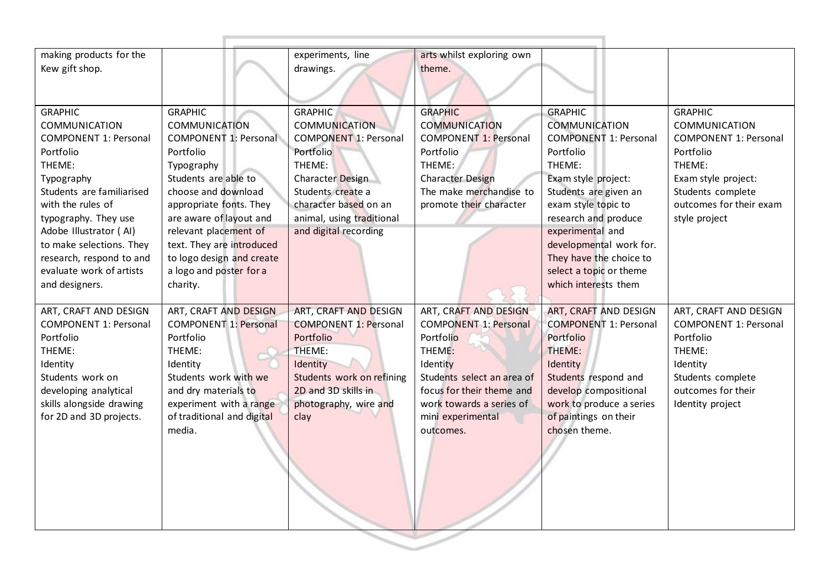| making products for the                 |                                             | experiments, line                            | arts whilst exploring own                          |                                              |                                          |
|-----------------------------------------|---------------------------------------------|----------------------------------------------|----------------------------------------------------|----------------------------------------------|------------------------------------------|
| Kew gift shop.                          |                                             | drawings.                                    | theme.                                             |                                              |                                          |
|                                         |                                             |                                              |                                                    |                                              |                                          |
| <b>GRAPHIC</b>                          | <b>GRAPHIC</b>                              | <b>GRAPHIC</b>                               | <b>GRAPHIC</b>                                     | <b>GRAPHIC</b>                               | <b>GRAPHIC</b>                           |
| <b>COMMUNICATION</b>                    | <b>COMMUNICATION</b>                        | <b>COMMUNICATION</b>                         | <b>COMMUNICATION</b>                               | <b>COMMUNICATION</b>                         | <b>COMMUNICATION</b>                     |
| <b>COMPONENT 1: Personal</b>            | <b>COMPONENT 1: Personal</b>                | <b>COMPONENT 1: Personal</b>                 | <b>COMPONENT 1: Personal</b>                       | <b>COMPONENT 1: Personal</b>                 | <b>COMPONENT 1: Personal</b>             |
| Portfolio                               | Portfolio                                   | Portfolio                                    | Portfolio                                          | Portfolio                                    | Portfolio                                |
| THEME:                                  | Typography                                  | THEME:                                       | THEME:                                             | THEME:                                       | THEME:                                   |
| Typography<br>Students are familiarised | Students are able to<br>choose and download | <b>Character Design</b><br>Students create a | <b>Character Design</b><br>The make merchandise to | Exam style project:<br>Students are given an | Exam style project:<br>Students complete |
| with the rules of                       | appropriate fonts. They                     | character based on an                        | promote their character                            | exam style topic to                          | outcomes for their exam                  |
| typography. They use                    | are aware of layout and                     | animal, using traditional                    |                                                    | research and produce                         | style project                            |
| Adobe Illustrator (AI)                  | relevant placement of                       | and digital recording                        |                                                    | experimental and                             |                                          |
| to make selections. They                | text. They are introduced                   |                                              |                                                    | developmental work for.                      |                                          |
| research, respond to and                | to logo design and create                   |                                              |                                                    | They have the choice to                      |                                          |
| evaluate work of artists                | a logo and poster for a                     |                                              |                                                    | select a topic or theme                      |                                          |
| and designers.                          | charity.                                    |                                              |                                                    | which interests them                         |                                          |
| ART, CRAFT AND DESIGN                   | ART, CRAFT AND DESIGN                       | ART, CRAFT AND DESIGN                        | ART, CRAFT AND DESIGN                              | ART, CRAFT AND DESIGN                        | ART, CRAFT AND DESIGN                    |
| <b>COMPONENT 1: Personal</b>            | <b>COMPONENT 1: Personal</b>                | <b>COMPONENT 1: Personal</b>                 | <b>COMPONENT 1: Personal</b>                       | <b>COMPONENT 1: Personal</b>                 | <b>COMPONENT 1: Personal</b>             |
| Portfolio                               | Portfolio                                   | Portfolio                                    | Portfolio                                          | Portfolio                                    | Portfolio                                |
| THEME:                                  | THEME:                                      | THEME:                                       | THEME:                                             | THEME:                                       | THEME:                                   |
| Identity                                | Identity                                    | Identity                                     | Identity                                           | Identity                                     | Identity                                 |
| Students work on                        | Students work with we                       | Students work on refining                    | Students select an area of                         | Students respond and                         | Students complete                        |
| developing analytical                   | and dry materials to                        | 2D and 3D skills in                          | focus for their theme and                          | develop compositional                        | outcomes for their                       |
| skills alongside drawing                | experiment with a range                     | photography, wire and                        | work towards a series of                           | work to produce a series                     | Identity project                         |
| for 2D and 3D projects.                 | of traditional and digital                  | clay                                         | mini experimental                                  | of paintings on their                        |                                          |
|                                         | media.                                      |                                              | outcomes.                                          | chosen theme.                                |                                          |
|                                         |                                             |                                              |                                                    |                                              |                                          |
|                                         |                                             |                                              |                                                    |                                              |                                          |
|                                         |                                             |                                              |                                                    |                                              |                                          |
|                                         |                                             |                                              |                                                    |                                              |                                          |
|                                         |                                             |                                              |                                                    |                                              |                                          |
|                                         |                                             |                                              |                                                    |                                              |                                          |
|                                         |                                             |                                              |                                                    |                                              |                                          |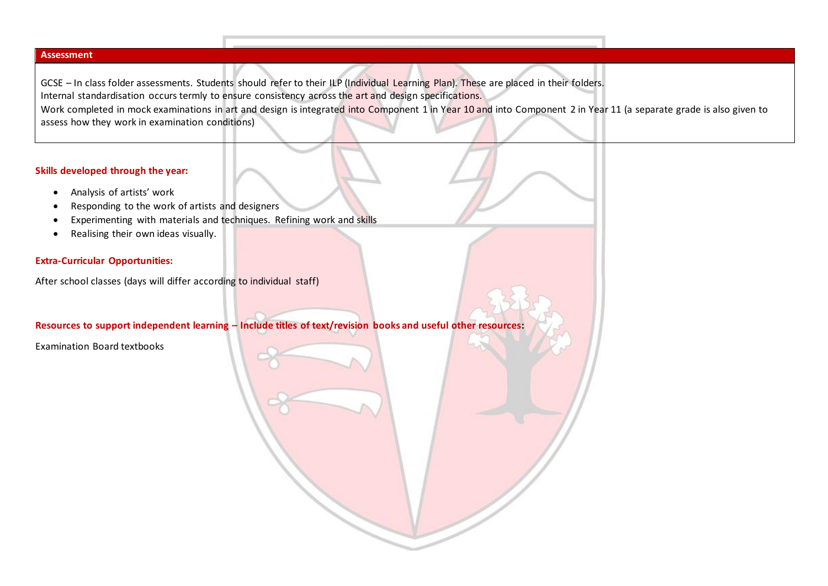#### **Assessment**

GCSE – In class folder assessments. Students should refer to their ILP (Individual Learning Plan). These are placed in their folders. Internal standardisation occurs termly to ensure consistency across the art and design specifications. Work completed in mock examinations in art and design is integrated into Component 1 in Year 10 and into Component 2 in Year 11 (a separate grade is also given to assess how they work in examination conditions)

#### **Skills developed through the year:**

- Analysis of artists' work
- Responding to the work of artists and designers
- Experimenting with materials and techniques. Refining work and skills
- Realising their own ideas visually.

#### **Extra-Curricular Opportunities:**

After school classes (days will differ according to individual staff)

**Resources to support independent learning – Include titles of text/revision books and useful other resources:**

Examination Board textbooks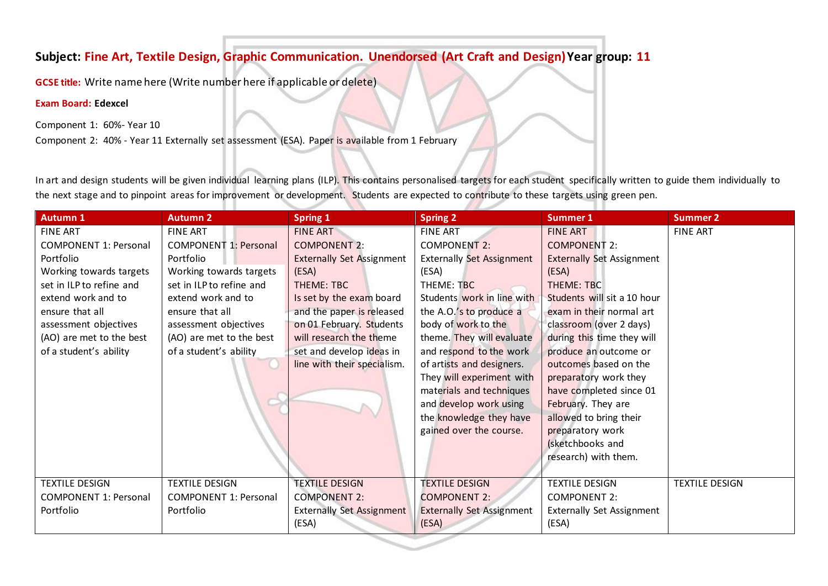# **Subject: Fine Art, Textile Design, Graphic Communication. Unendorsed (Art Craft and Design)Year group: 11**

**GCSE title:** Write name here (Write number here if applicable or delete)

### **Exam Board: Edexcel**

Component 1: 60%- Year 10

Component 2: 40% - Year 11 Externally set assessment (ESA). Paper is available from 1 February

In art and design students will be given individual learning plans (ILP). This contains personalised targets for each student specifically written to guide them individually to the next stage and to pinpoint areas for improvement or development. Students are expected to contribute to these targets using green pen.

| <b>Autumn 1</b>              | <b>Autumn 2</b>              | <b>Spring 1</b>                  | <b>Spring 2</b>                  | <b>Summer 1</b>                  | Summer 2              |
|------------------------------|------------------------------|----------------------------------|----------------------------------|----------------------------------|-----------------------|
| <b>FINE ART</b>              | <b>FINE ART</b>              | <b>FINE ART</b>                  | <b>FINE ART</b>                  | <b>FINE ART</b>                  | <b>FINE ART</b>       |
| <b>COMPONENT 1: Personal</b> | <b>COMPONENT 1: Personal</b> | <b>COMPONENT 2:</b>              | <b>COMPONENT 2:</b>              | <b>COMPONENT 2:</b>              |                       |
| Portfolio                    | Portfolio                    | <b>Externally Set Assignment</b> | <b>Externally Set Assignment</b> | <b>Externally Set Assignment</b> |                       |
| Working towards targets      | Working towards targets      | (ESA)                            | (ESA)                            | (ESA)                            |                       |
| set in ILP to refine and     | set in ILP to refine and     | THEME: TBC                       | THEME: TBC                       | THEME: TBC                       |                       |
| extend work and to           | extend work and to           | Is set by the exam board         | Students work in line with       | Students will sit a 10 hour      |                       |
| ensure that all              | ensure that all              | and the paper is released        | the A.O.'s to produce a          | exam in their normal art         |                       |
| assessment objectives        | assessment objectives        | on 01 February. Students         | body of work to the              | classroom (over 2 days)          |                       |
| (AO) are met to the best     | (AO) are met to the best     | will research the theme          | theme. They will evaluate        | during this time they will       |                       |
| of a student's ability       | of a student's ability       | set and develop ideas in         | and respond to the work          | produce an outcome or            |                       |
|                              |                              | line with their specialism.      | of artists and designers.        | outcomes based on the            |                       |
|                              |                              |                                  | They will experiment with        | preparatory work they            |                       |
|                              |                              |                                  | materials and techniques         | have completed since 01          |                       |
|                              |                              |                                  | and develop work using           | February. They are               |                       |
|                              |                              |                                  | the knowledge they have          | allowed to bring their           |                       |
|                              |                              |                                  | gained over the course.          | preparatory work                 |                       |
|                              |                              |                                  |                                  | (sketchbooks and                 |                       |
|                              |                              |                                  |                                  | research) with them.             |                       |
|                              |                              |                                  |                                  |                                  |                       |
| <b>TEXTILE DESIGN</b>        | <b>TEXTILE DESIGN</b>        | <b>TEXTILE DESIGN</b>            | <b>TEXTILE DESIGN</b>            | <b>TEXTILE DESIGN</b>            | <b>TEXTILE DESIGN</b> |
| <b>COMPONENT 1: Personal</b> | <b>COMPONENT 1: Personal</b> | <b>COMPONENT 2:</b>              | <b>COMPONENT 2:</b>              | <b>COMPONENT 2:</b>              |                       |
| Portfolio                    | Portfolio                    | <b>Externally Set Assignment</b> | <b>Externally Set Assignment</b> | <b>Externally Set Assignment</b> |                       |
|                              |                              | (ESA)                            | (ESA)                            | (ESA)                            |                       |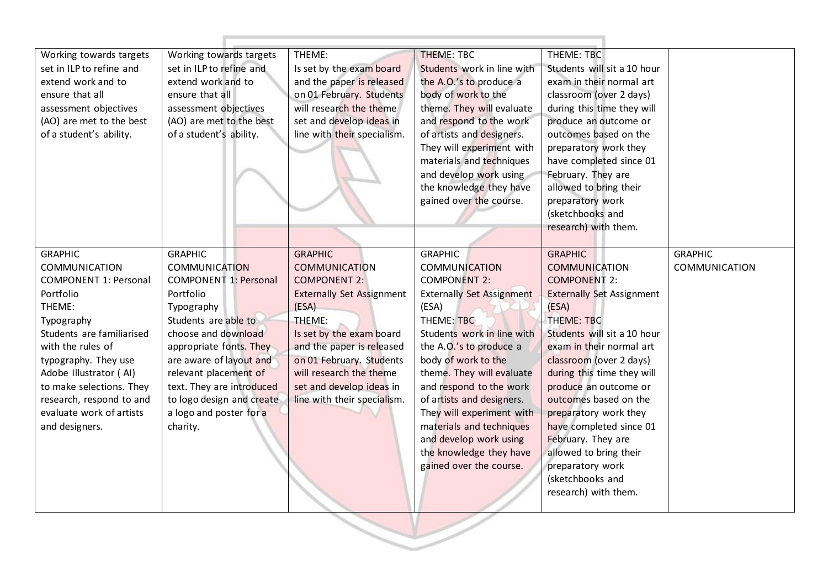| Working towards targets<br>Working towards targets<br>set in ILP to refine and<br>extend work and to<br>ensure that all<br>assessment objectives<br>(AO) are met to the best<br>of a student's ability.                                                                                                               | set in ILP to refine and<br>extend work and to<br>ensure that all<br>assessment objectives<br>(AO) are met to the best<br>of a student's ability.                                                                                                                                                                                | Is set by the exam board<br>and the paper is released<br>on 01 February. Students<br>will research the theme<br>set and develop ideas in<br>line with their specialism.                                                                                                                         | <b>THEME: TBC</b><br>Students work in line with<br>the A.O.'s to produce a<br>body of work to the<br>theme. They will evaluate<br>and respond to the work<br>of artists and designers.<br>They will experiment with<br>materials and techniques<br>and develop work using<br>the knowledge they have<br>gained over the course.                                                                                                        | THEME: TBC<br>Students will sit a 10 hour<br>exam in their normal art<br>classroom (over 2 days)<br>during this time they will<br>produce an outcome or<br>outcomes based on the<br>preparatory work they<br>have completed since 01<br>February. They are<br>allowed to bring their<br>preparatory work<br>(sketchbooks and<br>research) with them.                                                                                                               |                                 |
|-----------------------------------------------------------------------------------------------------------------------------------------------------------------------------------------------------------------------------------------------------------------------------------------------------------------------|----------------------------------------------------------------------------------------------------------------------------------------------------------------------------------------------------------------------------------------------------------------------------------------------------------------------------------|-------------------------------------------------------------------------------------------------------------------------------------------------------------------------------------------------------------------------------------------------------------------------------------------------|----------------------------------------------------------------------------------------------------------------------------------------------------------------------------------------------------------------------------------------------------------------------------------------------------------------------------------------------------------------------------------------------------------------------------------------|--------------------------------------------------------------------------------------------------------------------------------------------------------------------------------------------------------------------------------------------------------------------------------------------------------------------------------------------------------------------------------------------------------------------------------------------------------------------|---------------------------------|
| <b>GRAPHIC</b><br><b>COMMUNICATION</b><br><b>COMPONENT 1: Personal</b><br>Portfolio<br>THEME:<br>Typography<br>Students are familiarised<br>with the rules of<br>typography. They use<br>Adobe Illustrator (AI)<br>to make selections. They<br>research, respond to and<br>evaluate work of artists<br>and designers. | <b>GRAPHIC</b><br><b>COMMUNICATION</b><br><b>COMPONENT 1: Personal</b><br>Portfolio<br>Typography<br>Students are able to<br>choose and download<br>appropriate fonts. They<br>are aware of layout and<br>relevant placement of<br>text. They are introduced<br>to logo design and create<br>a logo and poster for a<br>charity. | <b>GRAPHIC</b><br><b>COMMUNICATION</b><br><b>COMPONENT 2:</b><br><b>Externally Set Assignment</b><br>(ESA)<br>THEME:<br>Is set by the exam board<br>and the paper is released<br>on 01 February. Students<br>will research the theme<br>set and develop ideas in<br>line with their specialism. | <b>GRAPHIC</b><br><b>COMMUNICATION</b><br><b>COMPONENT 2:</b><br><b>Externally Set Assignment</b><br>(ESA)<br>THEME: TBC<br>Students work in line with<br>the A.O.'s to produce a<br>body of work to the<br>theme. They will evaluate<br>and respond to the work<br>of artists and designers.<br>They will experiment with<br>materials and techniques<br>and develop work using<br>the knowledge they have<br>gained over the course. | <b>GRAPHIC</b><br><b>COMMUNICATION</b><br><b>COMPONENT 2:</b><br><b>Externally Set Assignment</b><br>(ESA)<br>THEME: TBC<br>Students will sit a 10 hour<br>exam in their normal art<br>classroom (over 2 days)<br>during this time they will<br>produce an outcome or<br>outcomes based on the<br>preparatory work they<br>have completed since 01<br>February. They are<br>allowed to bring their<br>preparatory work<br>(sketchbooks and<br>research) with them. | <b>GRAPHIC</b><br>COMMUNICATION |

 $\mathbb{R}$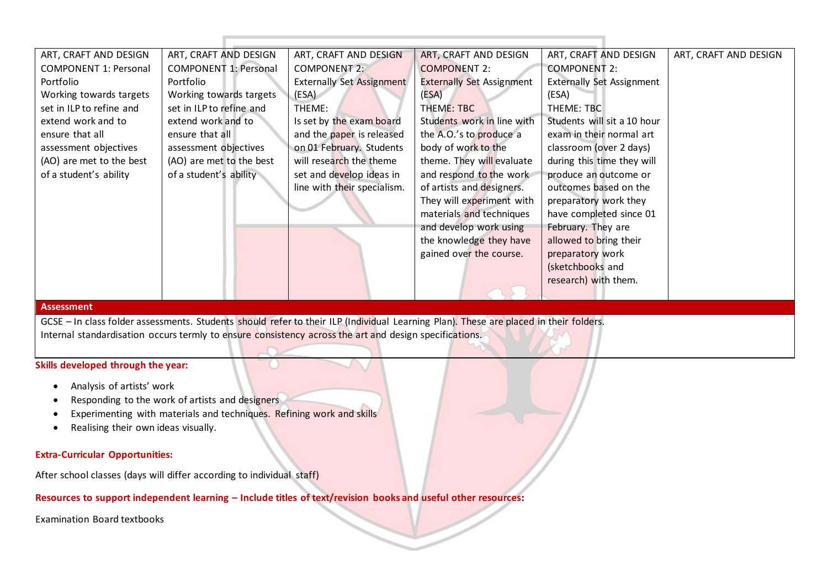| ART, CRAFT AND DESIGN        | ART, CRAFT AND DESIGN        | ART, CRAFT AND DESIGN            | ART, CRAFT AND DESIGN            | ART, CRAFT AND DESIGN            | ART, CRAFT AND DESIGN |
|------------------------------|------------------------------|----------------------------------|----------------------------------|----------------------------------|-----------------------|
| <b>COMPONENT 1: Personal</b> | <b>COMPONENT 1: Personal</b> | <b>COMPONENT 2:</b>              | <b>COMPONENT 2:</b>              | <b>COMPONENT 2:</b>              |                       |
| Portfolio                    | Portfolio                    | <b>Externally Set Assignment</b> | <b>Externally Set Assignment</b> | <b>Externally Set Assignment</b> |                       |
| Working towards targets      | Working towards targets      | (ESA)                            | (ESA)                            | (ESA)                            |                       |
| set in ILP to refine and     | set in ILP to refine and     | THEME:                           | THEME: TBC                       | THEME: TBC                       |                       |
| extend work and to           | extend work and to           | Is set by the exam board         | Students work in line with       | Students will sit a 10 hour      |                       |
| ensure that all              | ensure that all              | and the paper is released        | the A.O.'s to produce a          | exam in their normal art         |                       |
| assessment objectives        | assessment objectives        | on 01 February. Students         | body of work to the              | classroom (over 2 days)          |                       |
| (AO) are met to the best     | (AO) are met to the best     | will research the theme          | theme. They will evaluate        | during this time they will       |                       |
| of a student's ability       | of a student's ability       | set and develop ideas in         | and respond to the work          | produce an outcome or            |                       |
|                              |                              | line with their specialism.      | of artists and designers.        | outcomes based on the            |                       |
|                              |                              |                                  | They will experiment with        | preparatory work they            |                       |
|                              |                              |                                  | materials and techniques         | have completed since 01          |                       |
|                              |                              |                                  | and develop work using           | February. They are               |                       |
|                              |                              |                                  | the knowledge they have          | allowed to bring their           |                       |
|                              |                              |                                  | gained over the course.          | preparatory work                 |                       |
|                              |                              |                                  |                                  | (sketchbooks and                 |                       |
|                              |                              |                                  |                                  | research) with them.             |                       |
|                              |                              |                                  |                                  |                                  |                       |

#### **Assessment**

GCSE – In class folder assessments. Students should refer to their ILP (Individual Learning Plan). These are placed in their folders. Internal standardisation occurs termly to ensure consistency across the art and design specifications.

## **Skills developed through the year:**

- Analysis of artists' work
- Responding to the work of artists and designers
- Experimenting with materials and techniques. Refining work and skills
- Realising their own ideas visually.

#### **Extra-Curricular Opportunities:**

After school classes (days will differ according to individual staff)

### **Resources to support independent learning – Include titles of text/revision books and useful other resources:**

 $\cup$ 

Examination Board textbooks